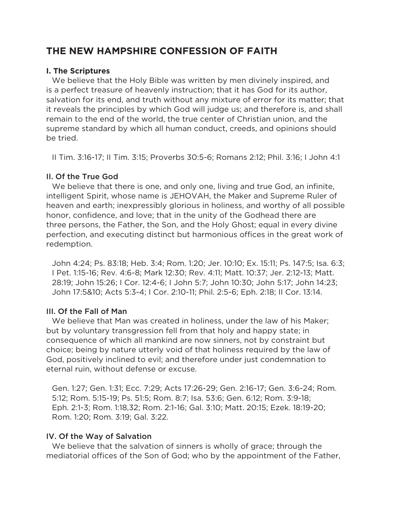# **THE NEW HAMPSHIRE CONFESSION OF FAITH**

# **I. The Scriptures**

We believe that the Holy Bible was written by men divinely inspired, and is a perfect treasure of heavenly instruction; that it has God for its author, salvation for its end, and truth without any mixture of error for its matter; that it reveals the principles by which God will judge us; and therefore is, and shall remain to the end of the world, the true center of Christian union, and the supreme standard by which all human conduct, creeds, and opinions should be tried.

II Tim. 3:16-17; II Tim. 3:15; Proverbs 30:5-6; Romans 2:12; Phil. 3:16; I John 4:1

# II. Of the True God

We believe that there is one, and only one, living and true God, an infinite, intelligent Spirit, whose name is JEHOVAH, the Maker and Supreme Ruler of heaven and earth; inexpressibly glorious in holiness, and worthy of all possible honor, confidence, and love; that in the unity of the Godhead there are three persons, the Father, the Son, and the Holy Ghost; equal in every divine perfection, and executing distinct but harmonious offices in the great work of redemption.

John 4:24; Ps. 83:18; Heb. 3:4; Rom. 1:20; Jer. 10:10; Ex. 15:11; Ps. 147:5; Isa. 6:3; I Pet. 1:15-16; Rev. 4:6-8; Mark 12:30; Rev. 4:11; Matt. 10:37; Jer. 2:12-13; Matt. 28:19; John 15:26; I Cor. 12:4-6; I John 5:7; John 10:30; John 5:17; John 14:23; John 17:5&10; Acts 5:3-4; I Cor. 2:10-11; Phil. 2:5-6; Eph. 2:18; II Cor. 13:14.

# III. Of the Fall of Man

We believe that Man was created in holiness, under the law of his Maker; but by voluntary transgression fell from that holy and happy state; in consequence of which all mankind are now sinners, not by constraint but choice; being by nature utterly void of that holiness required by the law of God, positively inclined to evil; and therefore under just condemnation to eternal ruin, without defense or excuse.

Gen. 1:27; Gen. 1:31; Ecc. 7:29; Acts 17:26-29; Gen. 2:16-17; Gen. 3:6-24; Rom. 5:12; Rom. 5:15-19; Ps. 51:5; Rom. 8:7; Isa. 53:6; Gen. 6:12; Rom. 3:9-18; Eph. 2:1-3; Rom. 1:18,32; Rom. 2:1-16; Gal. 3:10; Matt. 20:15; Ezek. 18:19-20; Rom. 1:20; Rom. 3:19; Gal. 3:22.

# IV. Of the Way of Salvation

We believe that the salvation of sinners is wholly of grace; through the mediatorial offices of the Son of God; who by the appointment of the Father,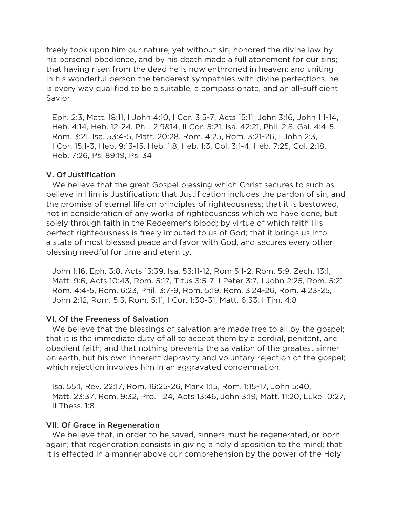freely took upon him our nature, yet without sin; honored the divine law by his personal obedience, and by his death made a full atonement for our sins; that having risen from the dead he is now enthroned in heaven; and uniting in his wonderful person the tenderest sympathies with divine perfections, he is every way qualified to be a suitable, a compassionate, and an all-sufficient Savior.

Eph. 2:3, Matt. 18:11, I John 4:10, I Cor. 3:5-7, Acts 15:11, John 3:16, John 1:1-14, Heb. 4:14, Heb. 12-24, Phil. 2:9&14, II Cor. 5:21, Isa. 42:21, Phil. 2:8, Gal. 4:4-5, Rom. 3:21, Isa. 53:4-5, Matt. 20:28, Rom. 4:25, Rom. 3:21-26, I John 2:3, I Cor. 15:1-3, Heb. 9:13-15, Heb. 1:8, Heb. 1:3, Col. 3:1-4, Heb. 7:25, Col. 2:18, Heb. 7:26, Ps. 89:19, Ps. 34

#### V. Of Justification

We believe that the great Gospel blessing which Christ secures to such as believe in Him is Justification; that Justification includes the pardon of sin, and the promise of eternal life on principles of righteousness; that it is bestowed, not in consideration of any works of righteousness which we have done, but solely through faith in the Redeemer's blood; by virtue of which faith His perfect righteousness is freely imputed to us of God; that it brings us into a state of most blessed peace and favor with God, and secures every other blessing needful for time and eternity.

John 1:16, Eph. 3:8, Acts 13:39, Isa. 53:11-12, Rom 5:1-2, Rom. 5:9, Zech. 13;1, Matt. 9:6, Acts 10:43, Rom. 5:17, Titus 3:5-7, I Peter 3:7, I John 2:25, Rom. 5:21, Rom. 4:4-5, Rom. 6:23, Phil. 3:7-9, Rom. 5:19, Rom. 3:24-26, Rom. 4:23-25, I John 2:12, Rom. 5:3, Rom. 5:11, I Cor. 1:30-31, Matt. 6:33, I Tim. 4:8

#### VI. Of the Freeness of Salvation

We believe that the blessings of salvation are made free to all by the gospel; that it is the immediate duty of all to accept them by a cordial, penitent, and obedient faith; and that nothing prevents the salvation of the greatest sinner on earth, but his own inherent depravity and voluntary rejection of the gospel; which rejection involves him in an aggravated condemnation.

Isa. 55:1, Rev. 22:17, Rom. 16:25-26, Mark 1:15, Rom. 1:15-17, John 5:40, Matt. 23:37, Rom. 9:32, Pro. 1:24, Acts 13:46, John 3:19, Matt. 11:20, Luke 10:27, II Thess. 1:8

#### VII. Of Grace in Regeneration

We believe that, in order to be saved, sinners must be regenerated, or born again; that regeneration consists in giving a holy disposition to the mind; that it is effected in a manner above our comprehension by the power of the Holy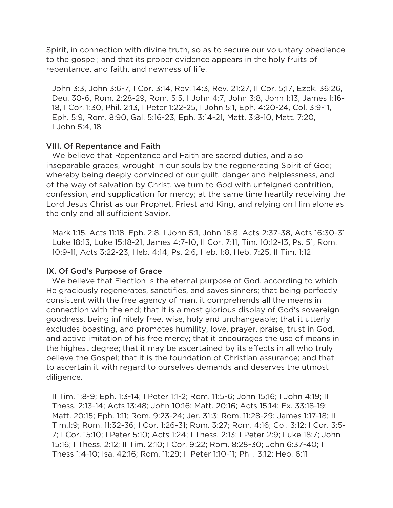Spirit, in connection with divine truth, so as to secure our voluntary obedience to the gospel; and that its proper evidence appears in the holy fruits of repentance, and faith, and newness of life.

John 3:3, John 3:6-7, I Cor. 3:14, Rev. 14:3, Rev. 21:27, II Cor. 5;17, Ezek. 36:26, Deu. 30-6, Rom. 2:28-29, Rom. 5:5, I John 4:7, John 3:8, John 1:13, James 1:16- 18, I Cor. 1:30, Phil. 2:13, I Peter 1:22-25, I John 5:1, Eph. 4:20-24, Col. 3:9-11, Eph. 5:9, Rom. 8:90, Gal. 5:16-23, Eph. 3:14-21, Matt. 3:8-10, Matt. 7:20, I John 5:4, 18

#### VIII. Of Repentance and Faith

We believe that Repentance and Faith are sacred duties, and also inseparable graces, wrought in our souls by the regenerating Spirit of God; whereby being deeply convinced of our guilt, danger and helplessness, and of the way of salvation by Christ, we turn to God with unfeigned contrition, confession, and supplication for mercy; at the same time heartily receiving the Lord Jesus Christ as our Prophet, Priest and King, and relying on Him alone as the only and all sufficient Savior.

Mark 1:15, Acts 11:18, Eph. 2:8, I John 5:1, John 16:8, Acts 2:37-38, Acts 16:30-31 Luke 18:13, Luke 15:18-21, James 4:7-10, II Cor. 7:11, Tim. 10:12-13, Ps. 51, Rom. 10:9-11, Acts 3:22-23, Heb. 4:14, Ps. 2:6, Heb. 1:8, Heb. 7:25, II Tim. 1:12

# IX. Of God's Purpose of Grace

We believe that Election is the eternal purpose of God, according to which He graciously regenerates, sanctifies, and saves sinners; that being perfectly consistent with the free agency of man, it comprehends all the means in connection with the end; that it is a most glorious display of God's sovereign goodness, being infinitely free, wise, holy and unchangeable; that it utterly excludes boasting, and promotes humility, love, prayer, praise, trust in God, and active imitation of his free mercy; that it encourages the use of means in the highest degree; that it may be ascertained by its effects in all who truly believe the Gospel; that it is the foundation of Christian assurance; and that to ascertain it with regard to ourselves demands and deserves the utmost diligence.

II Tim. 1:8-9; Eph. 1:3-14; I Peter 1:1-2; Rom. 11:5-6; John 15;16; I John 4:19; II Thess. 2:13-14; Acts 13:48; John 10:16; Matt. 20:16; Acts 15:14; Ex. 33:18-19; Matt. 20:15; Eph. 1:11; Rom. 9:23-24; Jer. 31:3; Rom. 11:28-29; James 1:17-18; II Tim.1:9; Rom. 11:32-36; I Cor. 1:26-31; Rom. 3:27; Rom. 4:16; Col. 3:12; I Cor. 3:5- 7; I Cor. 15:10; I Peter 5:10; Acts 1:24; I Thess. 2:13; I Peter 2:9; Luke 18:7; John 15:16; I Thess. 2:12; II Tim. 2:10; I Cor. 9:22; Rom. 8:28-30; John 6:37-40; I Thess 1:4-10; Isa. 42:16; Rom. 11:29; II Peter 1:10-11; Phil. 3:12; Heb. 6:11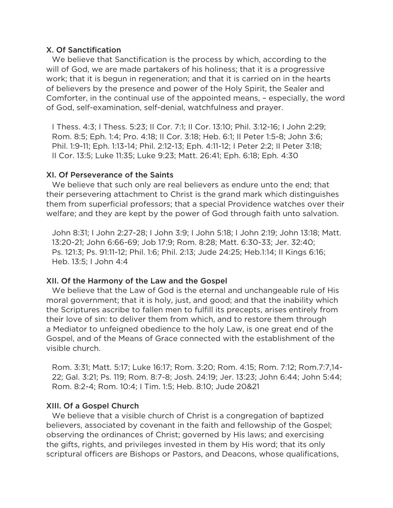#### X. Of Sanctification

We believe that Sanctification is the process by which, according to the will of God, we are made partakers of his holiness; that it is a progressive work; that it is begun in regeneration; and that it is carried on in the hearts of believers by the presence and power of the Holy Spirit, the Sealer and Comforter, in the continual use of the appointed means, – especially, the word of God, self-examination, self-denial, watchfulness and prayer.

I Thess. 4:3; I Thess. 5:23; II Cor. 7:1; II Cor. 13:10; Phil. 3:12-16; I John 2:29; Rom. 8:5; Eph. 1:4; Pro. 4:18; II Cor. 3:18; Heb. 6:1; II Peter 1:5-8; John 3:6; Phil. 1:9-11; Eph. 1:13-14; Phil. 2:12-13; Eph. 4:11-12; I Peter 2:2; II Peter 3:18; II Cor. 13:5; Luke 11:35; Luke 9:23; Matt. 26:41; Eph. 6:18; Eph. 4:30

# XI. Of Perseverance of the Saints

We believe that such only are real believers as endure unto the end; that their persevering attachment to Christ is the grand mark which distinguishes them from superficial professors; that a special Providence watches over their welfare; and they are kept by the power of God through faith unto salvation.

John 8:31; I John 2:27-28; I John 3:9; I John 5:18; I John 2:19; John 13:18; Matt. 13:20-21; John 6:66-69; Job 17:9; Rom. 8:28; Matt. 6:30-33; Jer. 32:40; Ps. 121:3; Ps. 91:11-12; Phil. 1:6; Phil. 2:13; Jude 24:25; Heb.1:14; II Kings 6:16; Heb. 13:5; I John 4:4

# XII. Of the Harmony of the Law and the Gospel

We believe that the Law of God is the eternal and unchangeable rule of His moral government; that it is holy, just, and good; and that the inability which the Scriptures ascribe to fallen men to fulfill its precepts, arises entirely from their love of sin: to deliver them from which, and to restore them through a Mediator to unfeigned obedience to the holy Law, is one great end of the Gospel, and of the Means of Grace connected with the establishment of the visible church.

Rom. 3:31; Matt. 5:17; Luke 16:17; Rom. 3:20; Rom. 4:15; Rom. 7:12; Rom.7:7,14- 22; Gal. 3:21; Ps. 119; Rom. 8:7-8; Josh. 24:19; Jer. 13:23; John 6:44; John 5:44; Rom. 8:2-4; Rom. 10:4; I Tim. 1:5; Heb. 8:10; Jude 20&21

# XIII. Of a Gospel Church

We believe that a visible church of Christ is a congregation of baptized believers, associated by covenant in the faith and fellowship of the Gospel; observing the ordinances of Christ; governed by His laws; and exercising the gifts, rights, and privileges invested in them by His word; that its only scriptural officers are Bishops or Pastors, and Deacons, whose qualifications,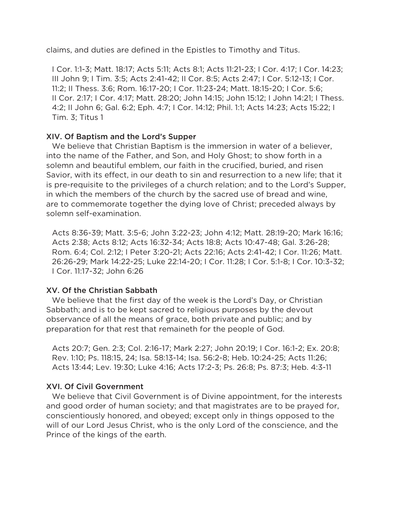claims, and duties are defined in the Epistles to Timothy and Titus.

I Cor. 1:1-3; Matt. 18:17; Acts 5:11; Acts 8:1; Acts 11:21-23; I Cor. 4:17; I Cor. 14:23; III John 9; I Tim. 3:5; Acts 2:41-42; II Cor. 8:5; Acts 2:47; I Cor. 5:12-13; I Cor. 11:2; II Thess. 3:6; Rom. 16:17-20; I Cor. 11:23-24; Matt. 18:15-20; I Cor. 5:6; II Cor. 2:17; I Cor. 4:17; Matt. 28:20; John 14:15; John 15:12; I John 14:21; I Thess. 4:2; II John 6; Gal. 6:2; Eph. 4:7; I Cor. 14:12; Phil. 1:1; Acts 14:23; Acts 15:22; I Tim. 3; Titus 1

#### XIV. Of Baptism and the Lord's Supper

We believe that Christian Baptism is the immersion in water of a believer, into the name of the Father, and Son, and Holy Ghost; to show forth in a solemn and beautiful emblem, our faith in the crucified, buried, and risen Savior, with its effect, in our death to sin and resurrection to a new life; that it is pre-requisite to the privileges of a church relation; and to the Lord's Supper, in which the members of the church by the sacred use of bread and wine, are to commemorate together the dying love of Christ; preceded always by solemn self-examination.

Acts 8:36-39; Matt. 3:5-6; John 3:22-23; John 4:12; Matt. 28:19-20; Mark 16:16; Acts 2:38; Acts 8:12; Acts 16:32-34; Acts 18:8; Acts 10:47-48; Gal. 3:26-28; Rom. 6:4; Col. 2:12; I Peter 3:20-21; Acts 22:16; Acts 2:41-42; I Cor. 11:26; Matt. 26:26-29; Mark 14:22-25; Luke 22:14-20; I Cor. 11:28; I Cor. 5:1-8; I Cor. 10:3-32; I Cor. 11:17-32; John 6:26

# XV. Of the Christian Sabbath

We believe that the first day of the week is the Lord's Day, or Christian Sabbath; and is to be kept sacred to religious purposes by the devout observance of all the means of grace, both private and public; and by preparation for that rest that remaineth for the people of God.

Acts 20:7; Gen. 2:3; Col. 2:16-17; Mark 2:27; John 20:19; I Cor. 16:1-2; Ex. 20:8; Rev. 1:10; Ps. 118:15, 24; Isa. 58:13-14; Isa. 56:2-8; Heb. 10:24-25; Acts 11:26; Acts 13:44; Lev. 19:30; Luke 4:16; Acts 17:2-3; Ps. 26:8; Ps. 87:3; Heb. 4:3-11

# XVI. Of Civil Government

We believe that Civil Government is of Divine appointment, for the interests and good order of human society; and that magistrates are to be prayed for, conscientiously honored, and obeyed; except only in things opposed to the will of our Lord Jesus Christ, who is the only Lord of the conscience, and the Prince of the kings of the earth.